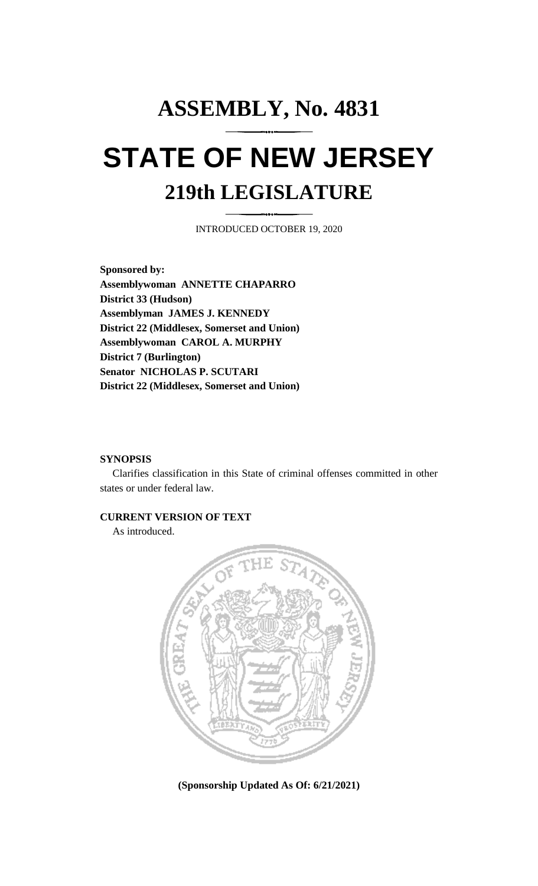# **ASSEMBLY, No. 4831 STATE OF NEW JERSEY 219th LEGISLATURE**

INTRODUCED OCTOBER 19, 2020

**Sponsored by: Assemblywoman ANNETTE CHAPARRO District 33 (Hudson) Assemblyman JAMES J. KENNEDY District 22 (Middlesex, Somerset and Union) Assemblywoman CAROL A. MURPHY District 7 (Burlington) Senator NICHOLAS P. SCUTARI District 22 (Middlesex, Somerset and Union)**

#### **SYNOPSIS**

Clarifies classification in this State of criminal offenses committed in other states or under federal law.

## **CURRENT VERSION OF TEXT**

As introduced.



**(Sponsorship Updated As Of: 6/21/2021)**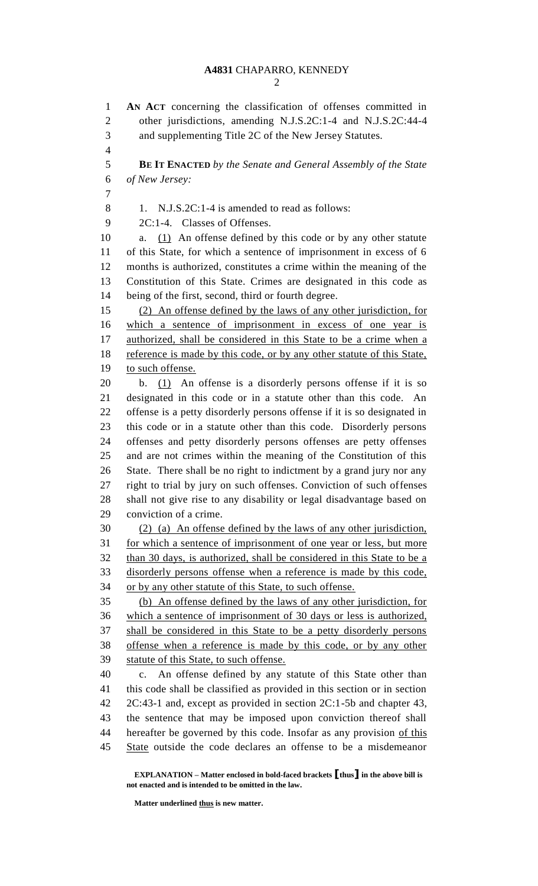**AN ACT** concerning the classification of offenses committed in other jurisdictions, amending N.J.S.2C:1-4 and N.J.S.2C:44-4 and supplementing Title 2C of the New Jersey Statutes. **BE IT ENACTED** *by the Senate and General Assembly of the State of New Jersey:* 8 1. N.J.S.2C:1-4 is amended to read as follows: 2C:1-4. Classes of Offenses. a. (1) An offense defined by this code or by any other statute of this State, for which a sentence of imprisonment in excess of 6 months is authorized, constitutes a crime within the meaning of the Constitution of this State. Crimes are designated in this code as being of the first, second, third or fourth degree. (2) An offense defined by the laws of any other jurisdiction, for which a sentence of imprisonment in excess of one year is 17 authorized, shall be considered in this State to be a crime when a reference is made by this code, or by any other statute of this State, to such offense. b. (1) An offense is a disorderly persons offense if it is so designated in this code or in a statute other than this code. An offense is a petty disorderly persons offense if it is so designated in this code or in a statute other than this code. Disorderly persons offenses and petty disorderly persons offenses are petty offenses and are not crimes within the meaning of the Constitution of this State. There shall be no right to indictment by a grand jury nor any right to trial by jury on such offenses. Conviction of such offenses shall not give rise to any disability or legal disadvantage based on conviction of a crime. (2) (a) An offense defined by the laws of any other jurisdiction, for which a sentence of imprisonment of one year or less, but more than 30 days, is authorized, shall be considered in this State to be a disorderly persons offense when a reference is made by this code, or by any other statute of this State, to such offense. (b) An offense defined by the laws of any other jurisdiction, for which a sentence of imprisonment of 30 days or less is authorized, shall be considered in this State to be a petty disorderly persons offense when a reference is made by this code, or by any other 39 statute of this State, to such offense. c. An offense defined by any statute of this State other than this code shall be classified as provided in this section or in section 2C:43-1 and, except as provided in section 2C:1-5b and chapter 43, the sentence that may be imposed upon conviction thereof shall hereafter be governed by this code. Insofar as any provision of this State outside the code declares an offense to be a misdemeanor

**EXPLANATION – Matter enclosed in bold-faced brackets [thus] in the above bill is not enacted and is intended to be omitted in the law.**

**Matter underlined thus is new matter.**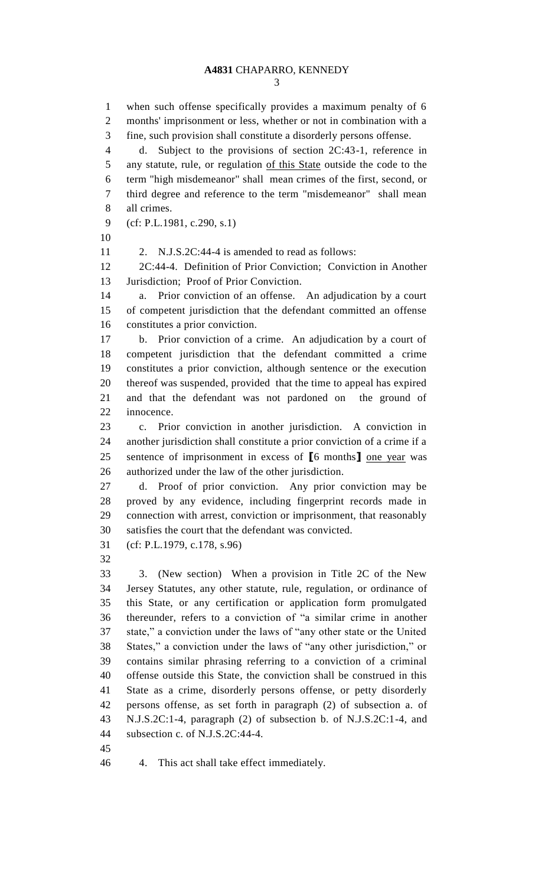when such offense specifically provides a maximum penalty of 6 months' imprisonment or less, whether or not in combination with a fine, such provision shall constitute a disorderly persons offense. d. Subject to the provisions of section 2C:43-1, reference in any statute, rule, or regulation of this State outside the code to the term "high misdemeanor" shall mean crimes of the first, second, or third degree and reference to the term "misdemeanor" shall mean all crimes. (cf: P.L.1981, c.290, s.1) 2. N.J.S.2C:44-4 is amended to read as follows: 2C:44-4. Definition of Prior Conviction; Conviction in Another Jurisdiction; Proof of Prior Conviction. a. Prior conviction of an offense. An adjudication by a court of competent jurisdiction that the defendant committed an offense constitutes a prior conviction. b. Prior conviction of a crime. An adjudication by a court of competent jurisdiction that the defendant committed a crime constitutes a prior conviction, although sentence or the execution thereof was suspended, provided that the time to appeal has expired and that the defendant was not pardoned on the ground of innocence. c. Prior conviction in another jurisdiction. A conviction in another jurisdiction shall constitute a prior conviction of a crime if a sentence of imprisonment in excess of **[**6 months**]** one year was authorized under the law of the other jurisdiction. d. Proof of prior conviction. Any prior conviction may be proved by any evidence, including fingerprint records made in connection with arrest, conviction or imprisonment, that reasonably satisfies the court that the defendant was convicted. (cf: P.L.1979, c.178, s.96) 3. (New section) When a provision in Title 2C of the New Jersey Statutes, any other statute, rule, regulation, or ordinance of this State, or any certification or application form promulgated thereunder, refers to a conviction of "a similar crime in another state," a conviction under the laws of "any other state or the United States," a conviction under the laws of "any other jurisdiction," or contains similar phrasing referring to a conviction of a criminal offense outside this State, the conviction shall be construed in this State as a crime, disorderly persons offense, or petty disorderly persons offense, as set forth in paragraph (2) of subsection a. of N.J.S.2C:1-4, paragraph (2) of subsection b. of N.J.S.2C:1-4, and subsection c. of N.J.S.2C:44-4.

4. This act shall take effect immediately.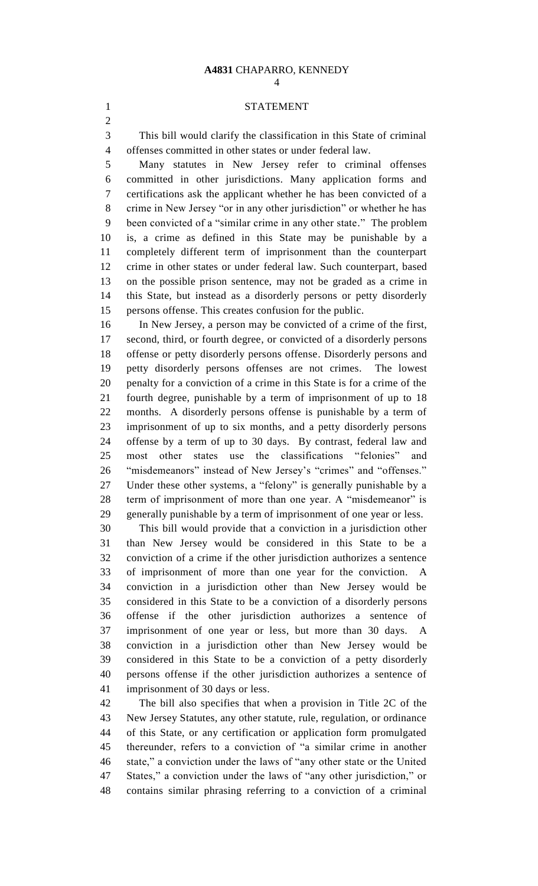### STATEMENT

 This bill would clarify the classification in this State of criminal offenses committed in other states or under federal law.

 Many statutes in New Jersey refer to criminal offenses committed in other jurisdictions. Many application forms and certifications ask the applicant whether he has been convicted of a crime in New Jersey "or in any other jurisdiction" or whether he has been convicted of a "similar crime in any other state." The problem is, a crime as defined in this State may be punishable by a completely different term of imprisonment than the counterpart crime in other states or under federal law. Such counterpart, based on the possible prison sentence, may not be graded as a crime in this State, but instead as a disorderly persons or petty disorderly persons offense. This creates confusion for the public.

 In New Jersey, a person may be convicted of a crime of the first, second, third, or fourth degree, or convicted of a disorderly persons offense or petty disorderly persons offense. Disorderly persons and petty disorderly persons offenses are not crimes. The lowest penalty for a conviction of a crime in this State is for a crime of the fourth degree, punishable by a term of imprisonment of up to 18 months. A disorderly persons offense is punishable by a term of imprisonment of up to six months, and a petty disorderly persons offense by a term of up to 30 days. By contrast, federal law and most other states use the classifications "felonies" and "misdemeanors" instead of New Jersey's "crimes" and "offenses." Under these other systems, a "felony" is generally punishable by a term of imprisonment of more than one year. A "misdemeanor" is generally punishable by a term of imprisonment of one year or less.

 This bill would provide that a conviction in a jurisdiction other than New Jersey would be considered in this State to be a conviction of a crime if the other jurisdiction authorizes a sentence of imprisonment of more than one year for the conviction. A conviction in a jurisdiction other than New Jersey would be considered in this State to be a conviction of a disorderly persons offense if the other jurisdiction authorizes a sentence of imprisonment of one year or less, but more than 30 days. A conviction in a jurisdiction other than New Jersey would be considered in this State to be a conviction of a petty disorderly persons offense if the other jurisdiction authorizes a sentence of imprisonment of 30 days or less.

 The bill also specifies that when a provision in Title 2C of the New Jersey Statutes, any other statute, rule, regulation, or ordinance of this State, or any certification or application form promulgated thereunder, refers to a conviction of "a similar crime in another state," a conviction under the laws of "any other state or the United States," a conviction under the laws of "any other jurisdiction," or contains similar phrasing referring to a conviction of a criminal